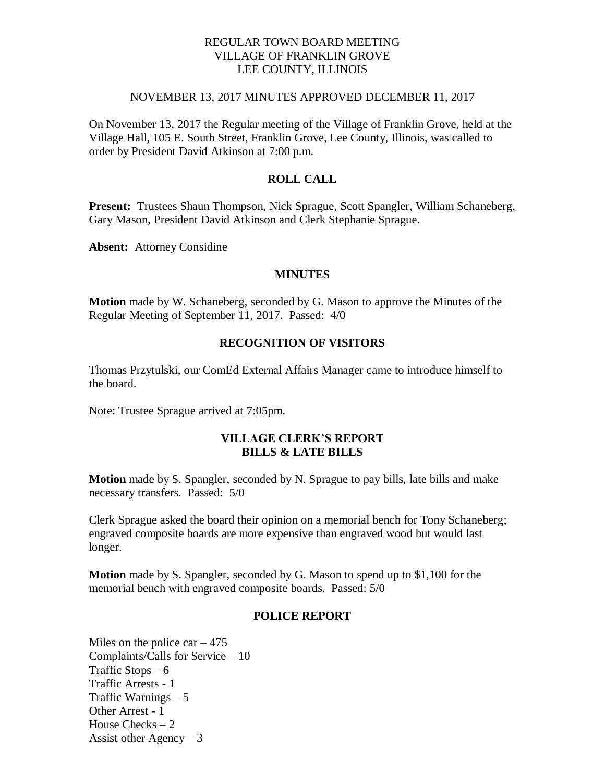## REGULAR TOWN BOARD MEETING VILLAGE OF FRANKLIN GROVE LEE COUNTY, ILLINOIS

#### NOVEMBER 13, 2017 MINUTES APPROVED DECEMBER 11, 2017

On November 13, 2017 the Regular meeting of the Village of Franklin Grove, held at the Village Hall, 105 E. South Street, Franklin Grove, Lee County, Illinois, was called to order by President David Atkinson at 7:00 p.m.

# **ROLL CALL**

**Present:** Trustees Shaun Thompson, Nick Sprague, Scott Spangler, William Schaneberg, Gary Mason, President David Atkinson and Clerk Stephanie Sprague.

**Absent:** Attorney Considine

#### **MINUTES**

**Motion** made by W. Schaneberg, seconded by G. Mason to approve the Minutes of the Regular Meeting of September 11, 2017. Passed: 4/0

# **RECOGNITION OF VISITORS**

Thomas Przytulski, our ComEd External Affairs Manager came to introduce himself to the board.

Note: Trustee Sprague arrived at 7:05pm.

## **VILLAGE CLERK'S REPORT BILLS & LATE BILLS**

**Motion** made by S. Spangler, seconded by N. Sprague to pay bills, late bills and make necessary transfers. Passed: 5/0

Clerk Sprague asked the board their opinion on a memorial bench for Tony Schaneberg; engraved composite boards are more expensive than engraved wood but would last longer.

**Motion** made by S. Spangler, seconded by G. Mason to spend up to \$1,100 for the memorial bench with engraved composite boards. Passed: 5/0

### **POLICE REPORT**

Miles on the police car  $-475$ Complaints/Calls for Service – 10 Traffic Stops  $-6$ Traffic Arrests - 1 Traffic Warnings – 5 Other Arrest - 1 House Checks – 2 Assist other Agency  $-3$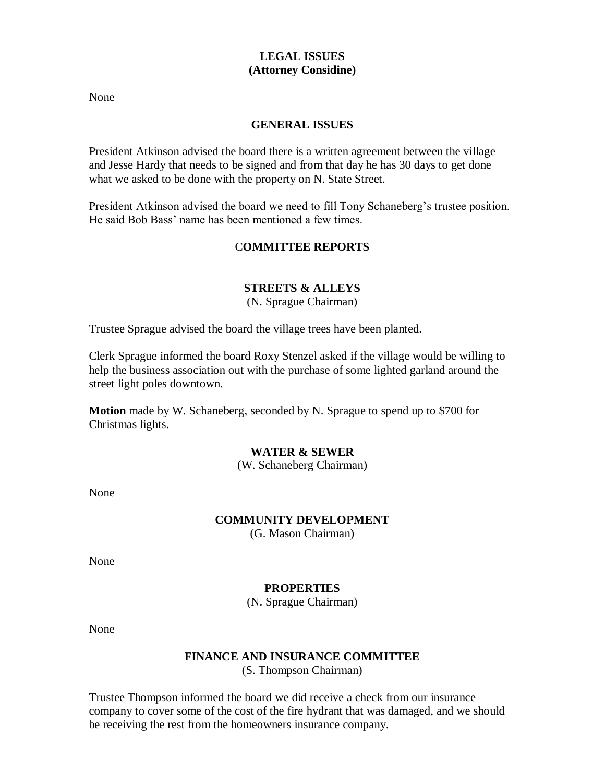# **LEGAL ISSUES (Attorney Considine)**

None

### **GENERAL ISSUES**

President Atkinson advised the board there is a written agreement between the village and Jesse Hardy that needs to be signed and from that day he has 30 days to get done what we asked to be done with the property on N. State Street.

President Atkinson advised the board we need to fill Tony Schaneberg's trustee position. He said Bob Bass' name has been mentioned a few times.

# C**OMMITTEE REPORTS**

# **STREETS & ALLEYS**

(N. Sprague Chairman)

Trustee Sprague advised the board the village trees have been planted.

Clerk Sprague informed the board Roxy Stenzel asked if the village would be willing to help the business association out with the purchase of some lighted garland around the street light poles downtown.

**Motion** made by W. Schaneberg, seconded by N. Sprague to spend up to \$700 for Christmas lights.

### **WATER & SEWER**

(W. Schaneberg Chairman)

None

#### **COMMUNITY DEVELOPMENT**

(G. Mason Chairman)

None

### **PROPERTIES**

(N. Sprague Chairman)

None

# **FINANCE AND INSURANCE COMMITTEE**

(S. Thompson Chairman)

Trustee Thompson informed the board we did receive a check from our insurance company to cover some of the cost of the fire hydrant that was damaged, and we should be receiving the rest from the homeowners insurance company.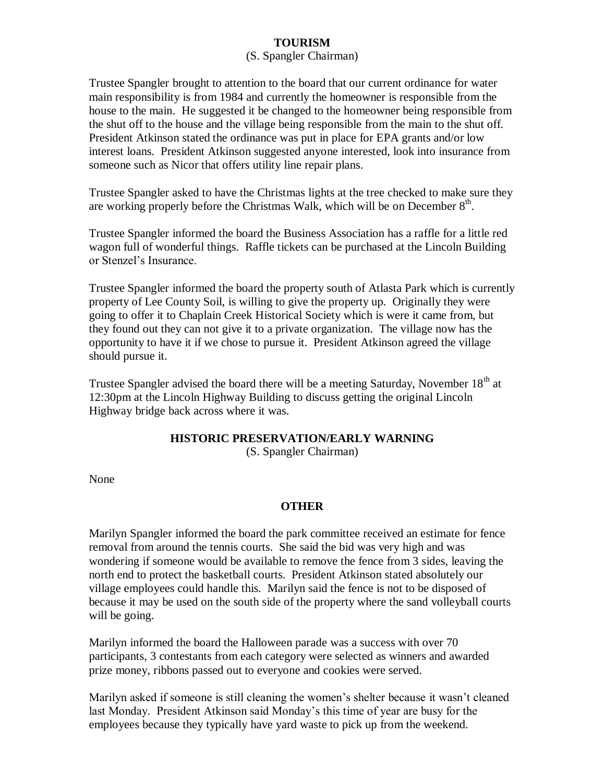# **TOURISM**

### (S. Spangler Chairman)

Trustee Spangler brought to attention to the board that our current ordinance for water main responsibility is from 1984 and currently the homeowner is responsible from the house to the main. He suggested it be changed to the homeowner being responsible from the shut off to the house and the village being responsible from the main to the shut off. President Atkinson stated the ordinance was put in place for EPA grants and/or low interest loans. President Atkinson suggested anyone interested, look into insurance from someone such as Nicor that offers utility line repair plans.

Trustee Spangler asked to have the Christmas lights at the tree checked to make sure they are working properly before the Christmas Walk, which will be on December  $8<sup>th</sup>$ .

Trustee Spangler informed the board the Business Association has a raffle for a little red wagon full of wonderful things. Raffle tickets can be purchased at the Lincoln Building or Stenzel's Insurance.

Trustee Spangler informed the board the property south of Atlasta Park which is currently property of Lee County Soil, is willing to give the property up. Originally they were going to offer it to Chaplain Creek Historical Society which is were it came from, but they found out they can not give it to a private organization. The village now has the opportunity to have it if we chose to pursue it. President Atkinson agreed the village should pursue it.

Trustee Spangler advised the board there will be a meeting Saturday, November  $18<sup>th</sup>$  at 12:30pm at the Lincoln Highway Building to discuss getting the original Lincoln Highway bridge back across where it was.

# **HISTORIC PRESERVATION/EARLY WARNING**

(S. Spangler Chairman)

None

# **OTHER**

Marilyn Spangler informed the board the park committee received an estimate for fence removal from around the tennis courts. She said the bid was very high and was wondering if someone would be available to remove the fence from 3 sides, leaving the north end to protect the basketball courts. President Atkinson stated absolutely our village employees could handle this. Marilyn said the fence is not to be disposed of because it may be used on the south side of the property where the sand volleyball courts will be going.

Marilyn informed the board the Halloween parade was a success with over 70 participants, 3 contestants from each category were selected as winners and awarded prize money, ribbons passed out to everyone and cookies were served.

Marilyn asked if someone is still cleaning the women's shelter because it wasn't cleaned last Monday. President Atkinson said Monday's this time of year are busy for the employees because they typically have yard waste to pick up from the weekend.